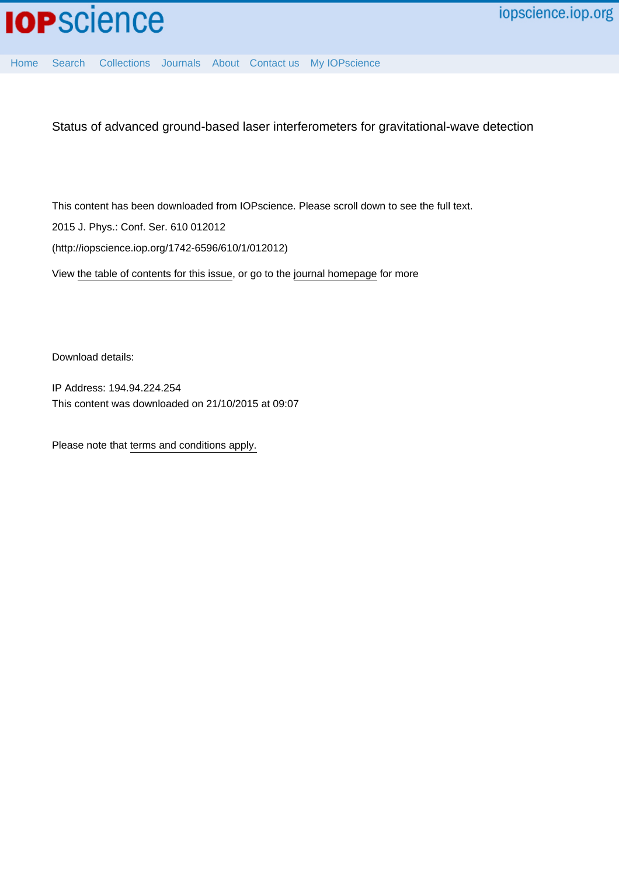

[Home](http://iopscience.iop.org/) [Search](http://iopscience.iop.org/search) [Collections](http://iopscience.iop.org/collections) [Journals](http://iopscience.iop.org/journals) [About](http://iopscience.iop.org/page/aboutioppublishing) [Contact us](http://iopscience.iop.org/contact) [My IOPscience](http://iopscience.iop.org/myiopscience)

Status of advanced ground-based laser interferometers for gravitational-wave detection

This content has been downloaded from IOPscience. Please scroll down to see the full text. 2015 J. Phys.: Conf. Ser. 610 012012 (http://iopscience.iop.org/1742-6596/610/1/012012)

View [the table of contents for this issue](http://iopscience.iop.org/1742-6596/610/1), or go to the [journal homepage](http://iopscience.iop.org/1742-6596) for more

Download details:

IP Address: 194.94.224.254 This content was downloaded on 21/10/2015 at 09:07

Please note that [terms and conditions apply.](iopscience.iop.org/page/terms)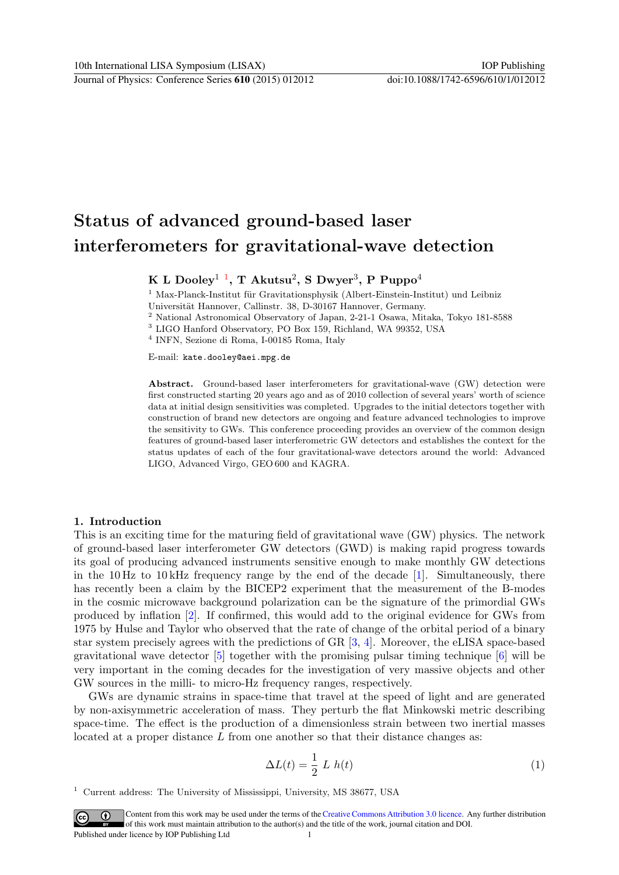# Status of advanced ground-based laser interferometers for gravitational-wave detection

 $\,\rm K\,$  L Dooley $^1$  $^1$   $^1,$  T Akutsu $^2,$  S Dwyer $^3,$  P Puppo $^4$ 

 $1$  Max-Planck-Institut für Gravitationsphysik (Albert-Einstein-Institut) und Leibniz Universität Hannover, Callinstr. 38, D-30167 Hannover, Germany.

<sup>2</sup> National Astronomical Observatory of Japan, 2-21-1 Osawa, Mitaka, Tokyo 181-8588

<sup>3</sup> LIGO Hanford Observatory, PO Box 159, Richland, WA 99352, USA

4 INFN, Sezione di Roma, I-00185 Roma, Italy

E-mail: kate.dooley@aei.mpg.de

Abstract. Ground-based laser interferometers for gravitational-wave (GW) detection were first constructed starting 20 years ago and as of 2010 collection of several years' worth of science data at initial design sensitivities was completed. Upgrades to the initial detectors together with construction of brand new detectors are ongoing and feature advanced technologies to improve the sensitivity to GWs. This conference proceeding provides an overview of the common design features of ground-based laser interferometric GW detectors and establishes the context for the status updates of each of the four gravitational-wave detectors around the world: Advanced LIGO, Advanced Virgo, GEO 600 and KAGRA.

## 1. Introduction

This is an exciting time for the maturing field of gravitational wave (GW) physics. The network of ground-based laser interferometer GW detectors (GWD) is making rapid progress towards its goal of producing advanced instruments sensitive enough to make monthly GW detections in the 10 Hz to 10 kHz frequency range by the end of the decade  $[1]$ . Simultaneously, there has recently been a claim by the BICEP2 experiment that the measurement of the B-modes in the cosmic microwave background polarization can be the signature of the primordial GWs produced by inflation [\[2\]](#page-6-1). If confirmed, this would add to the original evidence for GWs from 1975 by Hulse and Taylor who observed that the rate of change of the orbital period of a binary star system precisely agrees with the predictions of GR [\[3,](#page-6-2) [4\]](#page-6-3). Moreover, the eLISA space-based gravitational wave detector  $\lceil 5 \rceil$  together with the promising pulsar timing technique  $\lceil 6 \rceil$  will be very important in the coming decades for the investigation of very massive objects and other GW sources in the milli- to micro-Hz frequency ranges, respectively.

GWs are dynamic strains in space-time that travel at the speed of light and are generated by non-axisymmetric acceleration of mass. They perturb the flat Minkowski metric describing space-time. The effect is the production of a dimensionless strain between two inertial masses located at a proper distance  $L$  from one another so that their distance changes as:

$$
\Delta L(t) = \frac{1}{2} L h(t) \tag{1}
$$

<span id="page-1-0"></span><sup>1</sup> Current address: The University of Mississippi, University, MS 38677, USA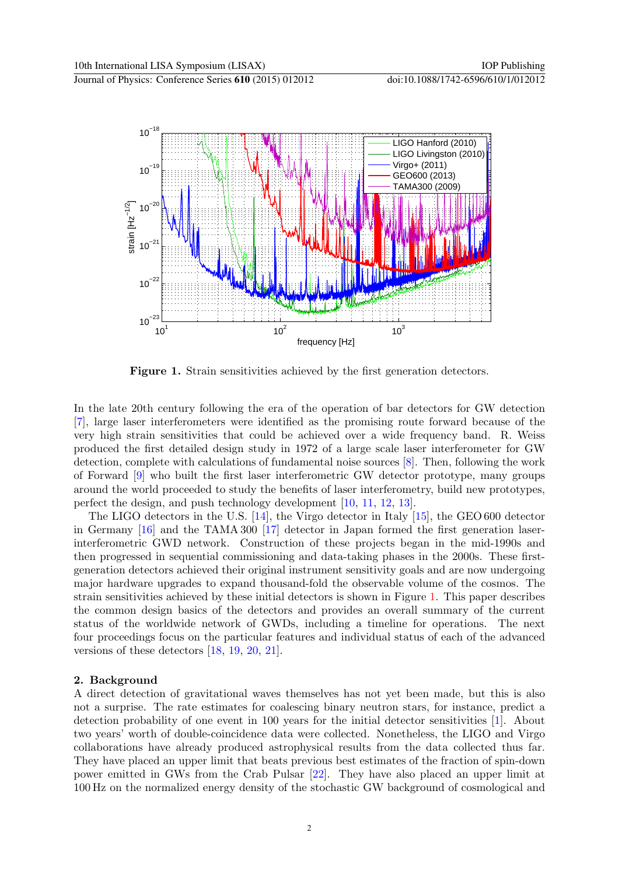

<span id="page-2-0"></span>Figure 1. Strain sensitivities achieved by the first generation detectors.

In the late 20th century following the era of the operation of bar detectors for GW detection [\[7\]](#page-7-0), large laser interferometers were identified as the promising route forward because of the very high strain sensitivities that could be achieved over a wide frequency band. R. Weiss produced the first detailed design study in 1972 of a large scale laser interferometer for GW detection, complete with calculations of fundamental noise sources [\[8\]](#page-7-1). Then, following the work of Forward [\[9\]](#page-7-2) who built the first laser interferometric GW detector prototype, many groups around the world proceeded to study the benefits of laser interferometry, build new prototypes, perfect the design, and push technology development [\[10,](#page-7-3) [11,](#page-7-4) [12,](#page-7-5) [13\]](#page-7-6).

The LIGO detectors in the U.S. [\[14\]](#page-7-7), the Virgo detector in Italy [\[15\]](#page-7-8), the GEO 600 detector in Germany [\[16\]](#page-7-9) and the TAMA 300 [\[17\]](#page-7-10) detector in Japan formed the first generation laserinterferometric GWD network. Construction of these projects began in the mid-1990s and then progressed in sequential commissioning and data-taking phases in the 2000s. These firstgeneration detectors achieved their original instrument sensitivity goals and are now undergoing major hardware upgrades to expand thousand-fold the observable volume of the cosmos. The strain sensitivities achieved by these initial detectors is shown in Figure [1.](#page-2-0) This paper describes the common design basics of the detectors and provides an overall summary of the current status of the worldwide network of GWDs, including a timeline for operations. The next four proceedings focus on the particular features and individual status of each of the advanced versions of these detectors [\[18,](#page-7-11) [19,](#page-7-12) [20,](#page-7-13) [21\]](#page-7-14).

## 2. Background

A direct detection of gravitational waves themselves has not yet been made, but this is also not a surprise. The rate estimates for coalescing binary neutron stars, for instance, predict a detection probability of one event in 100 years for the initial detector sensitivities [\[1\]](#page-6-0). About two years' worth of double-coincidence data were collected. Nonetheless, the LIGO and Virgo collaborations have already produced astrophysical results from the data collected thus far. They have placed an upper limit that beats previous best estimates of the fraction of spin-down power emitted in GWs from the Crab Pulsar [\[22\]](#page-7-15). They have also placed an upper limit at 100 Hz on the normalized energy density of the stochastic GW background of cosmological and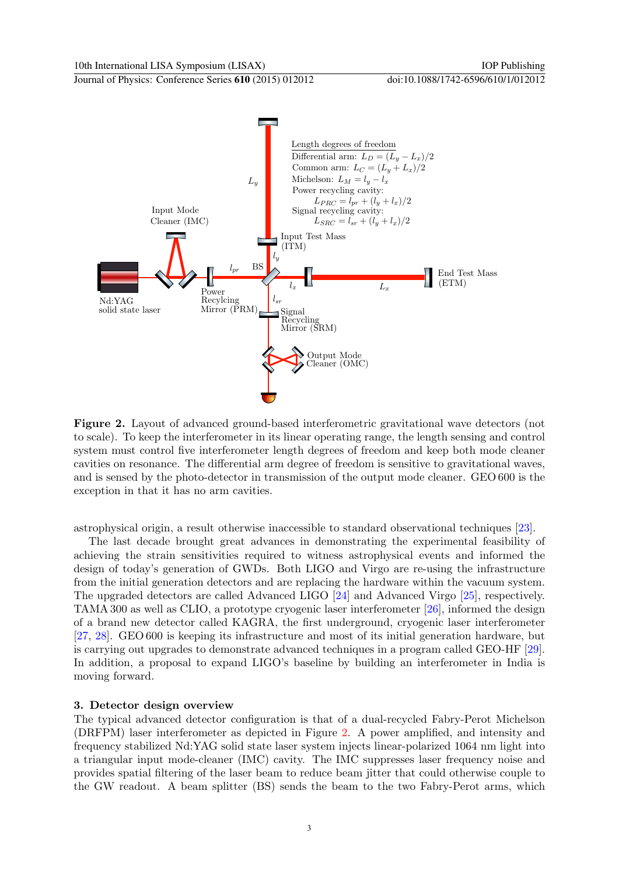Journal of Physics: Conference Series **610** (2015) 012012 doi:10.1088/1742-6596/610/1/012012



<span id="page-3-0"></span>Figure 2. Layout of advanced ground-based interferometric gravitational wave detectors (not to scale). To keep the interferometer in its linear operating range, the length sensing and control system must control five interferometer length degrees of freedom and keep both mode cleaner cavities on resonance. The differential arm degree of freedom is sensitive to gravitational waves, and is sensed by the photo-detector in transmission of the output mode cleaner. GEO 600 is the exception in that it has no arm cavities.

astrophysical origin, a result otherwise inaccessible to standard observational techniques [\[23\]](#page-7-16).

The last decade brought great advances in demonstrating the experimental feasibility of achieving the strain sensitivities required to witness astrophysical events and informed the design of today's generation of GWDs. Both LIGO and Virgo are re-using the infrastructure from the initial generation detectors and are replacing the hardware within the vacuum system. The upgraded detectors are called Advanced LIGO [\[24\]](#page-7-17) and Advanced Virgo [\[25\]](#page-7-18), respectively. TAMA 300 as well as CLIO, a prototype cryogenic laser interferometer [\[26\]](#page-7-19), informed the design of a brand new detector called KAGRA, the first underground, cryogenic laser interferometer [\[27,](#page-7-20) [28\]](#page-7-21). GEO 600 is keeping its infrastructure and most of its initial generation hardware, but is carrying out upgrades to demonstrate advanced techniques in a program called GEO-HF [\[29\]](#page-7-22). In addition, a proposal to expand LIGO's baseline by building an interferometer in India is moving forward.

#### 3. Detector design overview

The typical advanced detector configuration is that of a dual-recycled Fabry-Perot Michelson (DRFPM) laser interferometer as depicted in Figure [2.](#page-3-0) A power amplified, and intensity and frequency stabilized Nd:YAG solid state laser system injects linear-polarized 1064 nm light into a triangular input mode-cleaner (IMC) cavity. The IMC suppresses laser frequency noise and provides spatial filtering of the laser beam to reduce beam jitter that could otherwise couple to the GW readout. A beam splitter (BS) sends the beam to the two Fabry-Perot arms, which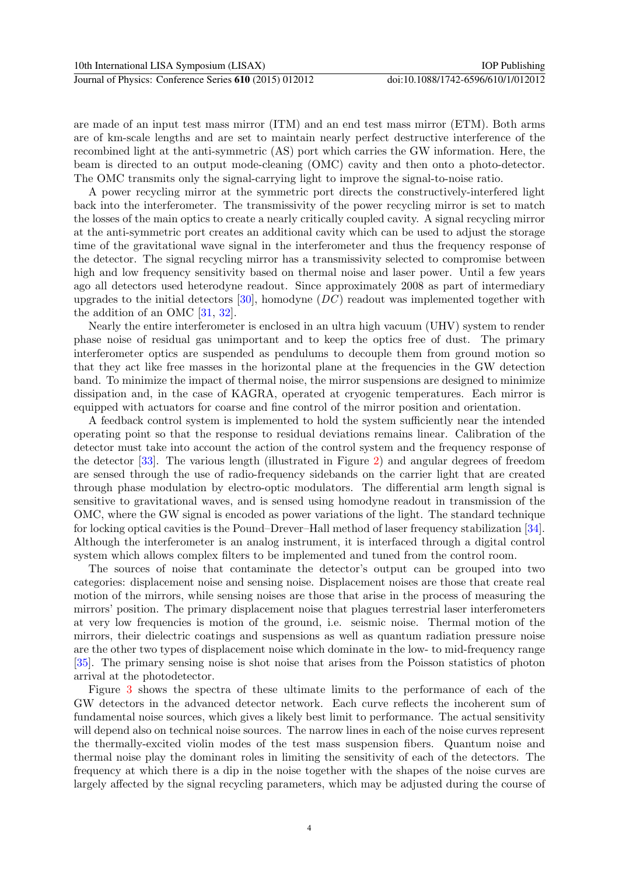are made of an input test mass mirror (ITM) and an end test mass mirror (ETM). Both arms are of km-scale lengths and are set to maintain nearly perfect destructive interference of the recombined light at the anti-symmetric (AS) port which carries the GW information. Here, the beam is directed to an output mode-cleaning (OMC) cavity and then onto a photo-detector. The OMC transmits only the signal-carrying light to improve the signal-to-noise ratio.

A power recycling mirror at the symmetric port directs the constructively-interfered light back into the interferometer. The transmissivity of the power recycling mirror is set to match the losses of the main optics to create a nearly critically coupled cavity. A signal recycling mirror at the anti-symmetric port creates an additional cavity which can be used to adjust the storage time of the gravitational wave signal in the interferometer and thus the frequency response of the detector. The signal recycling mirror has a transmissivity selected to compromise between high and low frequency sensitivity based on thermal noise and laser power. Until a few years ago all detectors used heterodyne readout. Since approximately 2008 as part of intermediary upgrades to the initial detectors  $[30]$ , homodyne  $(DC)$  readout was implemented together with the addition of an OMC [\[31,](#page-7-24) [32\]](#page-7-25).

Nearly the entire interferometer is enclosed in an ultra high vacuum (UHV) system to render phase noise of residual gas unimportant and to keep the optics free of dust. The primary interferometer optics are suspended as pendulums to decouple them from ground motion so that they act like free masses in the horizontal plane at the frequencies in the GW detection band. To minimize the impact of thermal noise, the mirror suspensions are designed to minimize dissipation and, in the case of KAGRA, operated at cryogenic temperatures. Each mirror is equipped with actuators for coarse and fine control of the mirror position and orientation.

A feedback control system is implemented to hold the system sufficiently near the intended operating point so that the response to residual deviations remains linear. Calibration of the detector must take into account the action of the control system and the frequency response of the detector [\[33\]](#page-7-26). The various length (illustrated in Figure [2\)](#page-3-0) and angular degrees of freedom are sensed through the use of radio-frequency sidebands on the carrier light that are created through phase modulation by electro-optic modulators. The differential arm length signal is sensitive to gravitational waves, and is sensed using homodyne readout in transmission of the OMC, where the GW signal is encoded as power variations of the light. The standard technique for locking optical cavities is the Pound–Drever–Hall method of laser frequency stabilization [\[34\]](#page-7-27). Although the interferometer is an analog instrument, it is interfaced through a digital control system which allows complex filters to be implemented and tuned from the control room.

The sources of noise that contaminate the detector's output can be grouped into two categories: displacement noise and sensing noise. Displacement noises are those that create real motion of the mirrors, while sensing noises are those that arise in the process of measuring the mirrors' position. The primary displacement noise that plagues terrestrial laser interferometers at very low frequencies is motion of the ground, i.e. seismic noise. Thermal motion of the mirrors, their dielectric coatings and suspensions as well as quantum radiation pressure noise are the other two types of displacement noise which dominate in the low- to mid-frequency range [\[35\]](#page-7-28). The primary sensing noise is shot noise that arises from the Poisson statistics of photon arrival at the photodetector.

Figure [3](#page-5-0) shows the spectra of these ultimate limits to the performance of each of the GW detectors in the advanced detector network. Each curve reflects the incoherent sum of fundamental noise sources, which gives a likely best limit to performance. The actual sensitivity will depend also on technical noise sources. The narrow lines in each of the noise curves represent the thermally-excited violin modes of the test mass suspension fibers. Quantum noise and thermal noise play the dominant roles in limiting the sensitivity of each of the detectors. The frequency at which there is a dip in the noise together with the shapes of the noise curves are largely affected by the signal recycling parameters, which may be adjusted during the course of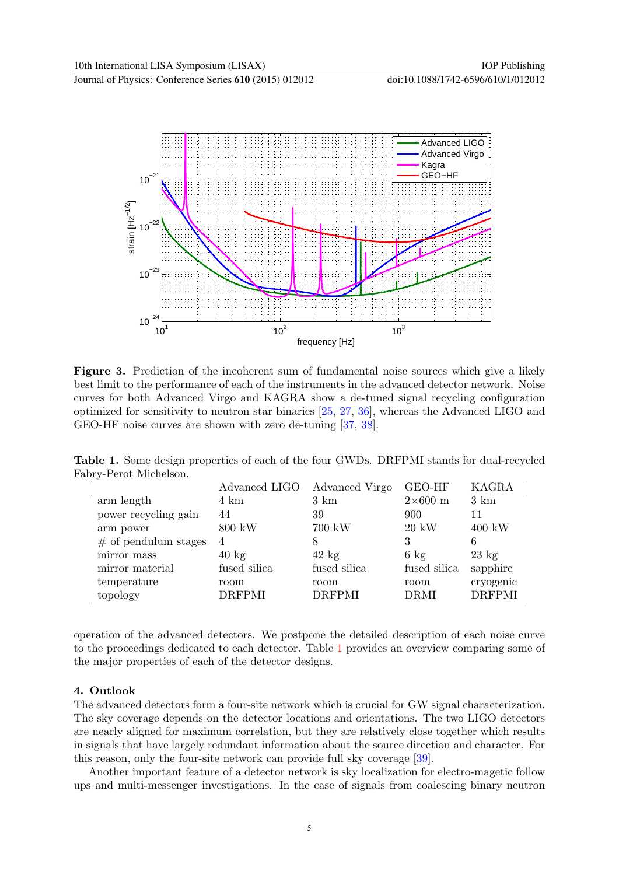

<span id="page-5-0"></span>Figure 3. Prediction of the incoherent sum of fundamental noise sources which give a likely best limit to the performance of each of the instruments in the advanced detector network. Noise curves for both Advanced Virgo and KAGRA show a de-tuned signal recycling configuration optimized for sensitivity to neutron star binaries [\[25,](#page-7-18) [27,](#page-7-20) [36\]](#page-7-29), whereas the Advanced LIGO and GEO-HF noise curves are shown with zero de-tuning [\[37,](#page-7-30) [38\]](#page-7-31).

Table 1. Some design properties of each of the four GWDs. DRFPMI stands for dual-recycled Fabry-Perot Michelson.

<span id="page-5-1"></span>

|                        | Advanced LIGO   | Advanced Virgo  | <b>GEO-HF</b>  | <b>KAGRA</b>    |
|------------------------|-----------------|-----------------|----------------|-----------------|
| arm length             | 4 km            | $3 \text{ km}$  | $2\times600$ m | $3 \text{ km}$  |
| power recycling gain   | 44              | 39              | 900            | 11              |
| arm power              | 800 kW          | 700 kW          | $20~{\rm kW}$  | 400 kW          |
| $#$ of pendulum stages | 4               | 8               | 3              | 6               |
| mirror mass            | $40 \text{ kg}$ | $42 \text{ kg}$ | $6 \text{ kg}$ | $23 \text{ kg}$ |
| mirror material        | fused silica    | fused silica    | fused silica   | sapphire        |
| temperature            | room            | room            | room           | cryogenic       |
| topology               | <b>DRFPMI</b>   | <b>DRFPMI</b>   | <b>DRMI</b>    | <b>DRFPMI</b>   |

operation of the advanced detectors. We postpone the detailed description of each noise curve to the proceedings dedicated to each detector. Table [1](#page-5-1) provides an overview comparing some of the major properties of each of the detector designs.

# 4. Outlook

The advanced detectors form a four-site network which is crucial for GW signal characterization. The sky coverage depends on the detector locations and orientations. The two LIGO detectors are nearly aligned for maximum correlation, but they are relatively close together which results in signals that have largely redundant information about the source direction and character. For this reason, only the four-site network can provide full sky coverage [\[39\]](#page-7-32).

Another important feature of a detector network is sky localization for electro-magetic follow ups and multi-messenger investigations. In the case of signals from coalescing binary neutron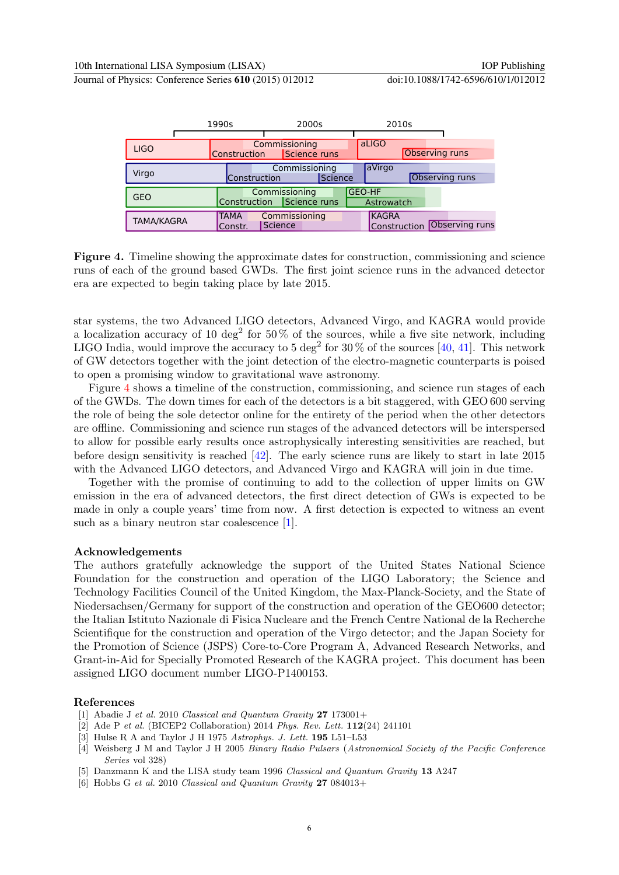Journal of Physics: Conference Series **610** (2015) 012012 doi:10.1088/1742-6596/610/1/012012

|             | 1990s |                        | 2000s                                      |         | 2010s                        |  |                       |
|-------------|-------|------------------------|--------------------------------------------|---------|------------------------------|--|-----------------------|
|             |       |                        |                                            |         |                              |  |                       |
| <b>LIGO</b> |       | <b>Construction</b>    | Commissioning<br>Science runs              |         | aLIGO                        |  | Observing runs        |
| Virgo       |       | Construction           | Commissioning                              | Science | aVirgo                       |  | <b>Observing runs</b> |
| <b>GEO</b>  |       |                        | Commissioning<br>Construction Science runs |         | <b>GEO-HF</b><br>Astrowatch  |  |                       |
| TAMA/KAGRA  |       | <b>TAMA</b><br>Constr. | Commissioning<br>Science                   |         | <b>KAGRA</b><br>Construction |  | Observing runs        |

<span id="page-6-6"></span>Figure 4. Timeline showing the approximate dates for construction, commissioning and science runs of each of the ground based GWDs. The first joint science runs in the advanced detector era are expected to begin taking place by late 2015.

star systems, the two Advanced LIGO detectors, Advanced Virgo, and KAGRA would provide a localization accuracy of 10 deg<sup>2</sup> for 50% of the sources, while a five site network, including LIGO India, would improve the accuracy to 5 deg<sup>2</sup> for 30  $\%$  of the sources [\[40,](#page-7-33) [41\]](#page-7-34). This network of GW detectors together with the joint detection of the electro-magnetic counterparts is poised to open a promising window to gravitational wave astronomy.

Figure [4](#page-6-6) shows a timeline of the construction, commissioning, and science run stages of each of the GWDs. The down times for each of the detectors is a bit staggered, with GEO 600 serving the role of being the sole detector online for the entirety of the period when the other detectors are offline. Commissioning and science run stages of the advanced detectors will be interspersed to allow for possible early results once astrophysically interesting sensitivities are reached, but before design sensitivity is reached [\[42\]](#page-7-35). The early science runs are likely to start in late 2015 with the Advanced LIGO detectors, and Advanced Virgo and KAGRA will join in due time.

Together with the promise of continuing to add to the collection of upper limits on GW emission in the era of advanced detectors, the first direct detection of GWs is expected to be made in only a couple years' time from now. A first detection is expected to witness an event such as a binary neutron star coalescence [\[1\]](#page-6-0).

#### Acknowledgements

The authors gratefully acknowledge the support of the United States National Science Foundation for the construction and operation of the LIGO Laboratory; the Science and Technology Facilities Council of the United Kingdom, the Max-Planck-Society, and the State of Niedersachsen/Germany for support of the construction and operation of the GEO600 detector; the Italian Istituto Nazionale di Fisica Nucleare and the French Centre National de la Recherche Scientifique for the construction and operation of the Virgo detector; and the Japan Society for the Promotion of Science (JSPS) Core-to-Core Program A, Advanced Research Networks, and Grant-in-Aid for Specially Promoted Research of the KAGRA project. This document has been assigned LIGO document number LIGO-P1400153.

#### References

- <span id="page-6-0"></span>[1] Abadie J et al. 2010 Classical and Quantum Gravity  $27$  173001+
- <span id="page-6-1"></span>[2] Ade P et al. (BICEP2 Collaboration) 2014 Phys. Rev. Lett. 112(24) 241101
- <span id="page-6-2"></span>[3] Hulse R A and Taylor J H 1975 Astrophys. J. Lett. 195 L51–L53
- <span id="page-6-3"></span>[4] Weisberg J M and Taylor J H 2005 Binary Radio Pulsars (Astronomical Society of the Pacific Conference Series vol 328)
- <span id="page-6-4"></span>[5] Danzmann K and the LISA study team 1996 Classical and Quantum Gravity 13 A247
- <span id="page-6-5"></span>[6] Hobbs G et al. 2010 Classical and Quantum Gravity 27 084013+